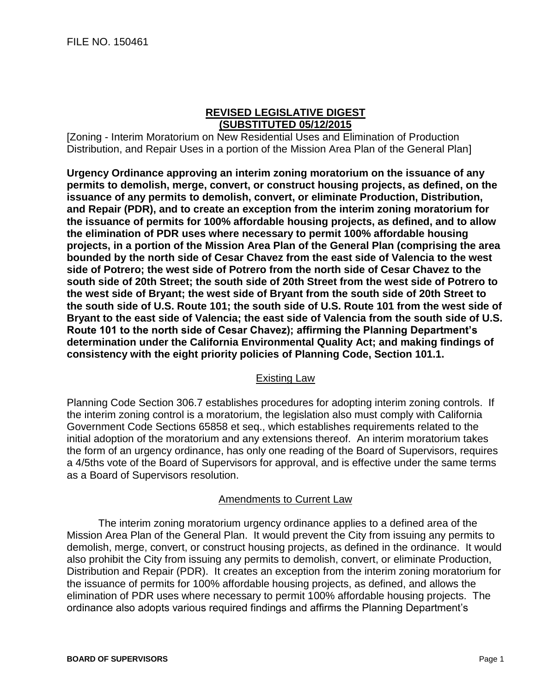## **REVISED LEGISLATIVE DIGEST (SUBSTITUTED 05/12/2015**

[Zoning - Interim Moratorium on New Residential Uses and Elimination of Production Distribution, and Repair Uses in a portion of the Mission Area Plan of the General Plan]

**Urgency Ordinance approving an interim zoning moratorium on the issuance of any permits to demolish, merge, convert, or construct housing projects, as defined, on the issuance of any permits to demolish, convert, or eliminate Production, Distribution, and Repair (PDR), and to create an exception from the interim zoning moratorium for the issuance of permits for 100% affordable housing projects, as defined, and to allow the elimination of PDR uses where necessary to permit 100% affordable housing projects, in a portion of the Mission Area Plan of the General Plan (comprising the area bounded by the north side of Cesar Chavez from the east side of Valencia to the west side of Potrero; the west side of Potrero from the north side of Cesar Chavez to the south side of 20th Street; the south side of 20th Street from the west side of Potrero to the west side of Bryant; the west side of Bryant from the south side of 20th Street to the south side of U.S. Route 101; the south side of U.S. Route 101 from the west side of Bryant to the east side of Valencia; the east side of Valencia from the south side of U.S. Route 101 to the north side of Cesar Chavez); affirming the Planning Department's determination under the California Environmental Quality Act; and making findings of consistency with the eight priority policies of Planning Code, Section 101.1.**

## Existing Law

Planning Code Section 306.7 establishes procedures for adopting interim zoning controls. If the interim zoning control is a moratorium, the legislation also must comply with California Government Code Sections 65858 et seq., which establishes requirements related to the initial adoption of the moratorium and any extensions thereof. An interim moratorium takes the form of an urgency ordinance, has only one reading of the Board of Supervisors, requires a 4/5ths vote of the Board of Supervisors for approval, and is effective under the same terms as a Board of Supervisors resolution.

## Amendments to Current Law

The interim zoning moratorium urgency ordinance applies to a defined area of the Mission Area Plan of the General Plan. It would prevent the City from issuing any permits to demolish, merge, convert, or construct housing projects, as defined in the ordinance. It would also prohibit the City from issuing any permits to demolish, convert, or eliminate Production, Distribution and Repair (PDR). It creates an exception from the interim zoning moratorium for the issuance of permits for 100% affordable housing projects, as defined, and allows the elimination of PDR uses where necessary to permit 100% affordable housing projects. The ordinance also adopts various required findings and affirms the Planning Department's